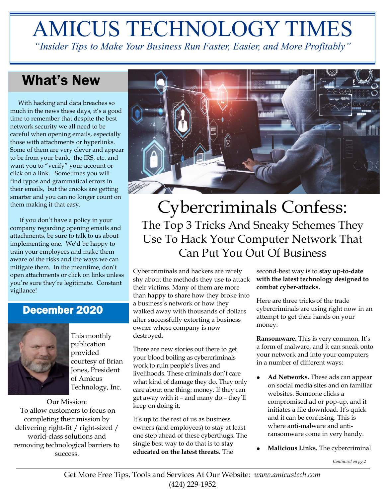# AMICUS TECHNOLOGY TIMES

*"Insider Tips to Make Your Business Run Faster, Easier, and More Profitably"*

# What's New

 With hacking and data breaches so much in the news these days, it's a good time to remember that despite the best network security we all need to be careful when opening emails, especially those with attachments or hyperlinks. Some of them are very clever and appear to be from your bank, the IRS, etc. and want you to "verify" your account or click on a link. Sometimes you will find typos and grammatical errors in their emails, but the crooks are getting smarter and you can no longer count on them making it that easy.

 If you don't have a policy in your company regarding opening emails and attachments, be sure to talk to us about implementing one. We'd be happy to train your employees and make them aware of the risks and the ways we can mitigate them. In the meantime, don't open attachments or click on links unless you're sure they're legitimate. Constant vigilance!

### December 2020



This monthly publication provided courtesy of Brian Jones, President of Amicus Technology, Inc.

Our Mission: To allow customers to focus on completing their mission by delivering right-fit / right-sized / world-class solutions and removing technological barriers to success.



# Cybercriminals Confess: The Top 3 Tricks And Sneaky Schemes They Use To Hack Your Computer Network That Can Put You Out Of Business

Cybercriminals and hackers are rarely shy about the methods they use to attack their victims. Many of them are more than happy to share how they broke into a business's network or how they walked away with thousands of dollars after successfully extorting a business owner whose company is now destroyed.

There are new stories out there to get your blood boiling as cybercriminals work to ruin people's lives and livelihoods. These criminals don't care what kind of damage they do. They only care about one thing: money. If they can get away with it – and many do – they'll keep on doing it.

It's up to the rest of us as business owners (and employees) to stay at least one step ahead of these cyberthugs. The single best way to do that is to **stay educated on the latest threats.** The

second-best way is to **stay up-to-date with the latest technology designed to combat cyber-attacks.** 

Here are three tricks of the trade cybercriminals are using right now in an attempt to get their hands on your money:

**Ransomware.** This is very common. It's a form of malware, and it can sneak onto your network and into your computers in a number of different ways:

- **Ad Networks.** These ads can appear on social media sites and on familiar websites. Someone clicks a compromised ad or pop-up, and it initiates a file download. It's quick and it can be confusing. This is where anti-malware and antiransomware come in very handy.
- **Malicious Links.** The cybercriminal

*Continued on pg.2*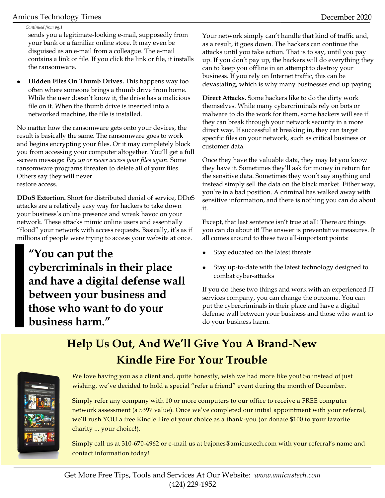### Amicus Technology Times December 2020

#### *Continued from pg.1*

sends you a legitimate-looking e-mail, supposedly from your bank or a familiar online store. It may even be disguised as an e-mail from a colleague. The e-mail contains a link or file. If you click the link or file, it installs the ransomware.

• **Hidden Files On Thumb Drives.** This happens way too often where someone brings a thumb drive from home. While the user doesn't know it, the drive has a malicious file on it. When the thumb drive is inserted into a networked machine, the file is installed.

No matter how the ransomware gets onto your devices, the result is basically the same. The ransomware goes to work and begins encrypting your files. Or it may completely block you from accessing your computer altogether. You'll get a full -screen message: *Pay up or never access your files again.* Some ransomware programs threaten to delete all of your files. Others say they will never restore access.

**DDoS Extortion.** Short for distributed denial of service, DDoS attacks are a relatively easy way for hackers to take down your business's online presence and wreak havoc on your network. These attacks mimic online users and essentially "flood" your network with access requests. Basically, it's as if millions of people were trying to access your website at once.

**"You can put the cybercriminals in their place and have a digital defense wall between your business and those who want to do your business harm."**

Your network simply can't handle that kind of traffic and, as a result, it goes down. The hackers can continue the attacks until you take action. That is to say, until you pay up. If you don't pay up, the hackers will do everything they can to keep you offline in an attempt to destroy your business. If you rely on Internet traffic, this can be devastating, which is why many businesses end up paying.

**Direct Attacks.** Some hackers like to do the dirty work themselves. While many cybercriminals rely on bots or malware to do the work for them, some hackers will see if they can break through your network security in a more direct way. If successful at breaking in, they can target specific files on your network, such as critical business or customer data.

Once they have the valuable data, they may let you know they have it. Sometimes they'll ask for money in return for the sensitive data. Sometimes they won't say anything and instead simply sell the data on the black market. Either way, you're in a bad position. A criminal has walked away with sensitive information, and there is nothing you can do about it.

Except, that last sentence isn't true at all! There *are* things you can do about it! The answer is preventative measures. It all comes around to these two all-important points:

- Stay educated on the latest threats
- Stay up-to-date with the latest technology designed to combat cyber-attacks

If you do these two things and work with an experienced IT services company, you can change the outcome. You can put the cybercriminals in their place and have a digital defense wall between your business and those who want to do your business harm.

# **Help Us Out, And We'll Give You A Brand-New Kindle Fire For Your Trouble**



We love having you as a client and, quite honestly, wish we had more like you! So instead of just wishing, we've decided to hold a special "refer a friend" event during the month of December.

Simply refer any company with 10 or more computers to our office to receive a FREE computer network assessment (a \$397 value). Once we've completed our initial appointment with your referral, we'll rush YOU a free Kindle Fire of your choice as a thank-you (or donate \$100 to your favorite charity ... your choice!).

Simply call us at 310-670-4962 or e-mail us at bajones@amicustech.com with your referral's name and contact information today!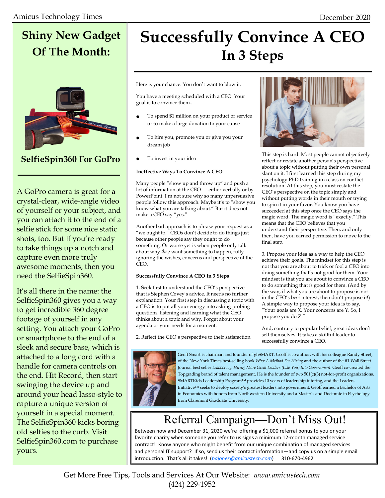# **Shiny New Gadget Of The Month:**



### **SelfieSpin360 For GoPro**

A GoPro camera is great for a crystal-clear, wide-angle video of yourself or your subject, and you can attach it to the end of a selfie stick for some nice static shots, too. But if you're ready to take things up a notch and capture even more truly awesome moments, then you need the SelfieSpin360.

It's all there in the name: the SelfieSpin360 gives you a way to get incredible 360 degree footage of yourself in any setting. You attach your GoPro or smartphone to the end of a sleek and secure base, which is attached to a long cord with a handle for camera controls on the end. Hit Record, then start swinging the device up and around your head lasso-style to capture a unique version of yourself in a special moment. The SelfieSpin360 kicks boring old selfies to the curb. Visit SelfieSpin360.com to purchase yours.

# **Successfully Convince A CEO In 3 Steps**

Here is your chance. You don't want to blow it.

You have a meeting scheduled with a CEO. Your goal is to convince them...

- To spend \$1 million on your product or service or to make a large donation to your cause
- To hire you, promote you or give you your dream job
- To invest in your idea

#### **Ineffective Ways To Convince A CEO**

Many people "show up and throw up" and push a lot of information at the CEO — either verbally or by PowerPoint. I'm not sure why so many unpersuasive people follow this approach. Maybe it's to "show you know what you are talking about." But it does not make a CEO say "yes."

Another bad approach is to phrase your request as a "we ought to." CEOs don't decide to do things just because other people say they ought to do something. Or worse yet is when people only talk about why *they* want something to happen, fully ignoring the wishes, concerns and perspective of the CEO.

#### **Successfully Convince A CEO In 3 Steps**

1. Seek first to understand the CEO's perspective that is Stephen Covey's advice. It needs no further explanation. Your first step in discussing a topic with a CEO is to put all your energy into asking probing questions, listening and learning what the CEO thinks about a topic and why. Forget about your agenda or your needs for a moment.

2. Reflect the CEO's perspective to their satisfaction.



This step is hard. Most people cannot objectively reflect or restate another person's perspective about a topic without putting their own personal slant on it. I first learned this step during my psychology PhD training in a class on conflict resolution. At this step, you must restate the CEO's perspective on the topic simply and without putting words in their mouth or trying to spin it in your favor. You know you have succeeded at this step once the CEO says the magic word. The magic word is "exactly." This means that the CEO believes that you understand their perspective. Then, and only then, have you earned permission to move to the final step.

3. Propose your idea as a way to help the CEO achieve their goals. The mindset for this step is not that you are about to trick or fool a CEO into doing something that's not good for them. Your mindset is that you are about to convince a CEO to do something that *is* good for them. (And by the way, if what you are about to propose is not in the CEO's best interest, then don't propose it!) A simple way to propose your idea is to say, "Your goals are X. Your concerns are Y. So, I propose you do Z."

And, contrary to popular belief, great ideas don't sell themselves. It takes a skillful leader to successfully convince a CEO.



Geoff Smart is chairman and founder of ghSMART. Geoff is co-author, with his colleague Randy Street, of the New York Times best-selling book *Who: A Method For Hiring* and the author of the #1 Wall Street Journal best seller *Leadocracy: Hiring More Great Leaders (Like You) Into Government*. Geoff co-created the Topgrading brand of talent management. He is the founder of two 501(c)(3) not-for-profit organizations. SMARTKids Leadership Program™ provides 10 years of leadership tutoring, and the Leaders Initiative™ seeks to deploy society's greatest leaders into government. Geoff earned a Bachelor of Arts in Economics with honors from Northwestern University and a Master's and Doctorate in Psychology from Claremont Graduate University.

## Referral Campaign—Don't Miss Out!

Between now and December 31, 2020 we're offering a \$1,000 referral bonus to you or your favorite charity when someone you refer to us signs a minimum 12-month managed service contract! Know anyone who might benefit from our unique combination of managed services and personal IT support? If so, send us their contact information—and copy us on a simple email introduction. That's all it takes! (*[bajones@amicustech.com](mailto:bajones@amicustech.com?subject=I%20hav%20a%20referral%20for%20you!)*) 310-670-4962